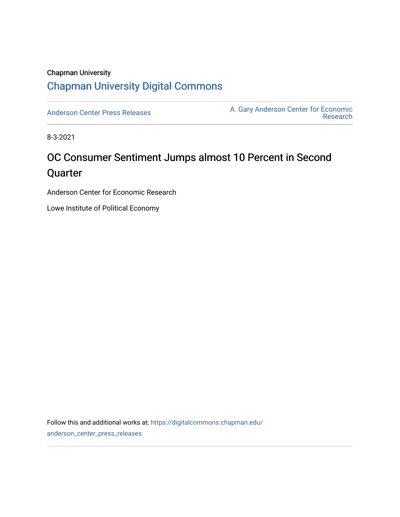### Chapman University [Chapman University Digital Commons](https://digitalcommons.chapman.edu/)

[Anderson Center Press Releases](https://digitalcommons.chapman.edu/anderson_center_press_releases) Anderson Center for Economic A. Gary Anderson Center for Economic [Research](https://digitalcommons.chapman.edu/anderson_center) 

8-3-2021

## OC Consumer Sentiment Jumps almost 10 Percent in Second Quarter

Anderson Center for Economic Research

Lowe Institute of Political Economy

Follow this and additional works at: [https://digitalcommons.chapman.edu/](https://digitalcommons.chapman.edu/anderson_center_press_releases?utm_source=digitalcommons.chapman.edu%2Fanderson_center_press_releases%2F128&utm_medium=PDF&utm_campaign=PDFCoverPages) [anderson\\_center\\_press\\_releases](https://digitalcommons.chapman.edu/anderson_center_press_releases?utm_source=digitalcommons.chapman.edu%2Fanderson_center_press_releases%2F128&utm_medium=PDF&utm_campaign=PDFCoverPages)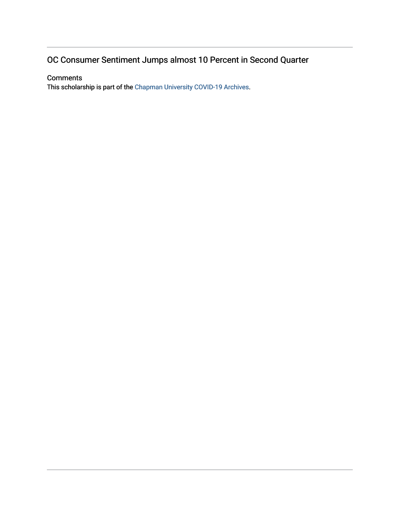### OC Consumer Sentiment Jumps almost 10 Percent in Second Quarter

#### **Comments**

This scholarship is part of the [Chapman University COVID-19 Archives](https://digitalcommons.chapman.edu/covid-19_archives/).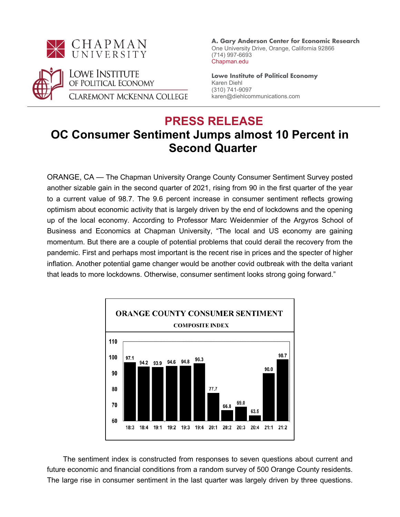



 **A. Gary Anderson Center for Economic Research** One University Drive, Orange, California 92866 (714) 997-6693 Chapman.edu

**Lowe Institute of Political Economy** Karen Diehl (310) 741-9097 karen@diehlcommunications.com

# **PRESS RELEASE**

## **OC Consumer Sentiment Jumps almost 10 Percent in Second Quarter**

ORANGE, CA — The Chapman University Orange County Consumer Sentiment Survey posted another sizable gain in the second quarter of 2021, rising from 90 in the first quarter of the year to a current value of 98.7. The 9.6 percent increase in consumer sentiment reflects growing optimism about economic activity that is largely driven by the end of lockdowns and the opening up of the local economy. According to Professor Marc Weidenmier of the Argyros School of Business and Economics at Chapman University, "The local and US economy are gaining momentum. But there are a couple of potential problems that could derail the recovery from the pandemic. First and perhaps most important is the recent rise in prices and the specter of higher inflation. Another potential game changer would be another covid outbreak with the delta variant that leads to more lockdowns. Otherwise, consumer sentiment looks strong going forward."



 The sentiment index is constructed from responses to seven questions about current and future economic and financial conditions from a random survey of 500 Orange County residents. The large rise in consumer sentiment in the last quarter was largely driven by three questions.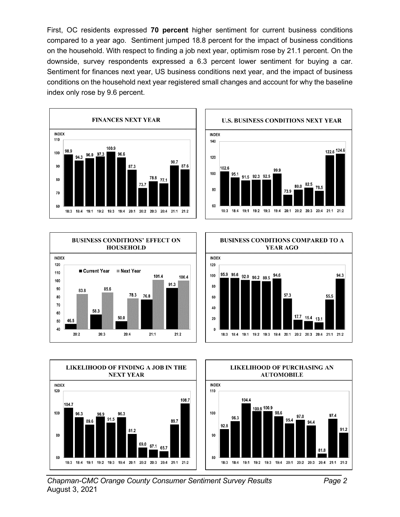First, OC residents expressed **70 percent** higher sentiment for current business conditions compared to a year ago. Sentiment jumped 18.8 percent for the impact of business conditions on the household. With respect to finding a job next year, optimism rose by 21.1 percent. On the downside, survey respondents expressed a 6.3 percent lower sentiment for buying a car. Sentiment for finances next year, US business conditions next year, and the impact of business conditions on the household next year registered small changes and account for why the baseline index only rose by 9.6 percent.













*Chapman-CMC Orange County Consumer Sentiment Survey Results Page 2* August 3, 2021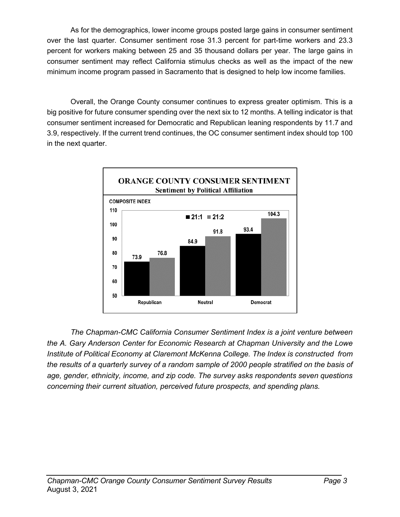As for the demographics, lower income groups posted large gains in consumer sentiment over the last quarter. Consumer sentiment rose 31.3 percent for part-time workers and 23.3 percent for workers making between 25 and 35 thousand dollars per year. The large gains in consumer sentiment may reflect California stimulus checks as well as the impact of the new minimum income program passed in Sacramento that is designed to help low income families.

Overall, the Orange County consumer continues to express greater optimism. This is a big positive for future consumer spending over the next six to 12 months. A telling indicator is that consumer sentiment increased for Democratic and Republican leaning respondents by 11.7 and 3.9, respectively. If the current trend continues, the OC consumer sentiment index should top 100 in the next quarter.



*The Chapman-CMC California Consumer Sentiment Index is a joint venture between the A. Gary Anderson Center for Economic Research at Chapman University and the Lowe Institute of Political Economy at Claremont McKenna College. The Index is constructed from the results of a quarterly survey of a random sample of 2000 people stratified on the basis of age, gender, ethnicity, income, and zip code. The survey asks respondents seven questions concerning their current situation, perceived future prospects, and spending plans.*